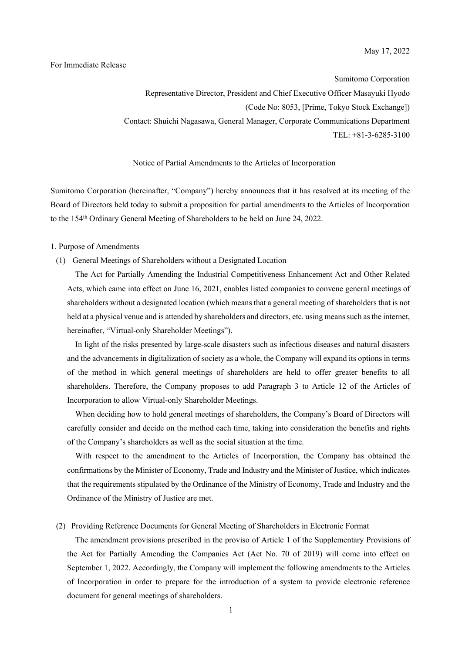### For Immediate Release

Sumitomo Corporation Representative Director, President and Chief Executive Officer Masayuki Hyodo (Code No: 8053, [Prime, Tokyo Stock Exchange]) Contact: Shuichi Nagasawa, General Manager, Corporate Communications Department TEL: +81-3-6285-3100

#### Notice of Partial Amendments to the Articles of Incorporation

Sumitomo Corporation (hereinafter, "Company") hereby announces that it has resolved at its meeting of the Board of Directors held today to submit a proposition for partial amendments to the Articles of Incorporation to the 154<sup>th</sup> Ordinary General Meeting of Shareholders to be held on June 24, 2022.

#### 1. Purpose of Amendments

### (1) General Meetings of Shareholders without a Designated Location

The Act for Partially Amending the Industrial Competitiveness Enhancement Act and Other Related Acts, which came into effect on June 16, 2021, enables listed companies to convene general meetings of shareholders without a designated location (which means that a general meeting of shareholders that is not held at a physical venue and is attended by shareholders and directors, etc. using means such as the internet, hereinafter, "Virtual-only Shareholder Meetings").

In light of the risks presented by large-scale disasters such as infectious diseases and natural disasters and the advancements in digitalization of society as a whole, the Company will expand its options in terms of the method in which general meetings of shareholders are held to offer greater benefits to all shareholders. Therefore, the Company proposes to add Paragraph 3 to Article 12 of the Articles of Incorporation to allow Virtual-only Shareholder Meetings.

When deciding how to hold general meetings of shareholders, the Company's Board of Directors will carefully consider and decide on the method each time, taking into consideration the benefits and rights of the Company's shareholders as well as the social situation at the time.

With respect to the amendment to the Articles of Incorporation, the Company has obtained the confirmations by the Minister of Economy, Trade and Industry and the Minister of Justice, which indicates that the requirements stipulated by the Ordinance of the Ministry of Economy, Trade and Industry and the Ordinance of the Ministry of Justice are met.

## (2) Providing Reference Documents for General Meeting of Shareholders in Electronic Format

The amendment provisions prescribed in the proviso of Article 1 of the Supplementary Provisions of the Act for Partially Amending the Companies Act (Act No. 70 of 2019) will come into effect on September 1, 2022. Accordingly, the Company will implement the following amendments to the Articles of Incorporation in order to prepare for the introduction of a system to provide electronic reference document for general meetings of shareholders.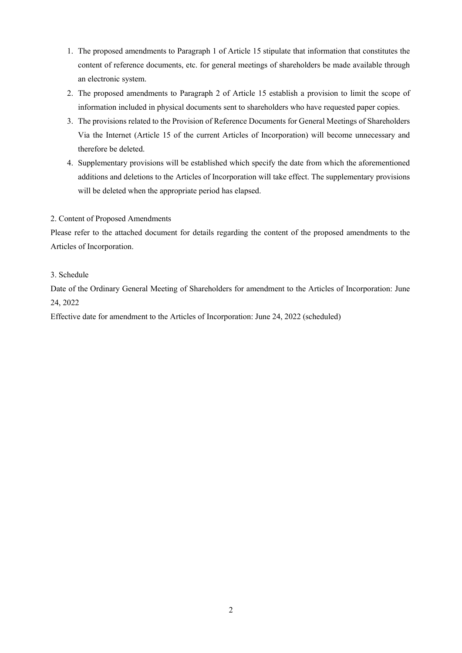- 1. The proposed amendments to Paragraph 1 of Article 15 stipulate that information that constitutes the content of reference documents, etc. for general meetings of shareholders be made available through an electronic system.
- 2. The proposed amendments to Paragraph 2 of Article 15 establish a provision to limit the scope of information included in physical documents sent to shareholders who have requested paper copies.
- 3. The provisions related to the Provision of Reference Documents for General Meetings of Shareholders Via the Internet (Article 15 of the current Articles of Incorporation) will become unnecessary and therefore be deleted.
- 4. Supplementary provisions will be established which specify the date from which the aforementioned additions and deletions to the Articles of Incorporation will take effect. The supplementary provisions will be deleted when the appropriate period has elapsed.

# 2. Content of Proposed Amendments

Please refer to the attached document for details regarding the content of the proposed amendments to the Articles of Incorporation.

# 3. Schedule

Date of the Ordinary General Meeting of Shareholders for amendment to the Articles of Incorporation: June 24, 2022

Effective date for amendment to the Articles of Incorporation: June 24, 2022 (scheduled)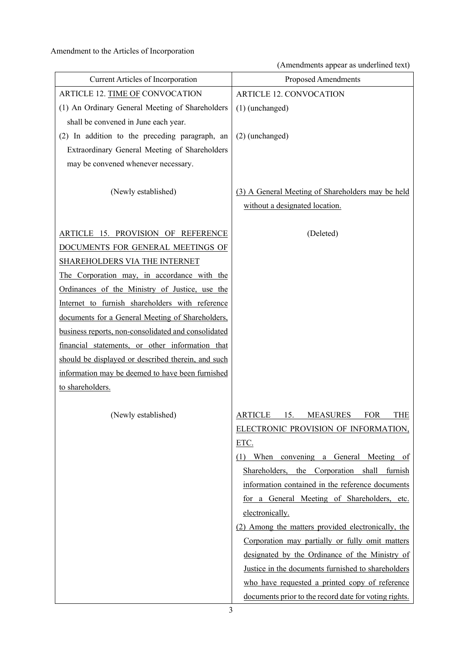(Amendments appear as underlined text)

| Current Articles of Incorporation                   | Proposed Amendments                                                                 |
|-----------------------------------------------------|-------------------------------------------------------------------------------------|
| ARTICLE 12. TIME OF CONVOCATION                     | <b>ARTICLE 12. CONVOCATION</b>                                                      |
| (1) An Ordinary General Meeting of Shareholders     | (1) (unchanged)                                                                     |
| shall be convened in June each year.                |                                                                                     |
| (2) In addition to the preceding paragraph, an      | (2) (unchanged)                                                                     |
| Extraordinary General Meeting of Shareholders       |                                                                                     |
| may be convened whenever necessary.                 |                                                                                     |
| (Newly established)                                 | (3) A General Meeting of Shareholders may be held<br>without a designated location. |
| ARTICLE 15. PROVISION OF REFERENCE                  | (Deleted)                                                                           |
| DOCUMENTS FOR GENERAL MEETINGS OF                   |                                                                                     |
| <b>SHAREHOLDERS VIA THE INTERNET</b>                |                                                                                     |
| The Corporation may, in accordance with the         |                                                                                     |
| Ordinances of the Ministry of Justice, use the      |                                                                                     |
| Internet to furnish shareholders with reference     |                                                                                     |
| documents for a General Meeting of Shareholders,    |                                                                                     |
| business reports, non-consolidated and consolidated |                                                                                     |
| financial statements, or other information that     |                                                                                     |
| should be displayed or described therein, and such  |                                                                                     |
| information may be deemed to have been furnished    |                                                                                     |
| to shareholders.                                    |                                                                                     |
|                                                     |                                                                                     |
| (Newly established)                                 | 15.<br><b>FOR</b><br>THE<br>ARTICLE<br>MEASURES                                     |
|                                                     | ELECTRONIC PROVISION OF INFORMATION,                                                |
|                                                     | ETC.                                                                                |
|                                                     | (1) When convening a General Meeting of                                             |
|                                                     | Shareholders, the Corporation shall furnish                                         |
|                                                     | information contained in the reference documents                                    |
|                                                     | for a General Meeting of Shareholders, etc.                                         |
|                                                     | electronically.                                                                     |
|                                                     | (2) Among the matters provided electronically, the                                  |
|                                                     | Corporation may partially or fully omit matters                                     |
|                                                     | designated by the Ordinance of the Ministry of                                      |
|                                                     | Justice in the documents furnished to shareholders                                  |
|                                                     | who have requested a printed copy of reference                                      |
|                                                     | documents prior to the record date for voting rights.                               |